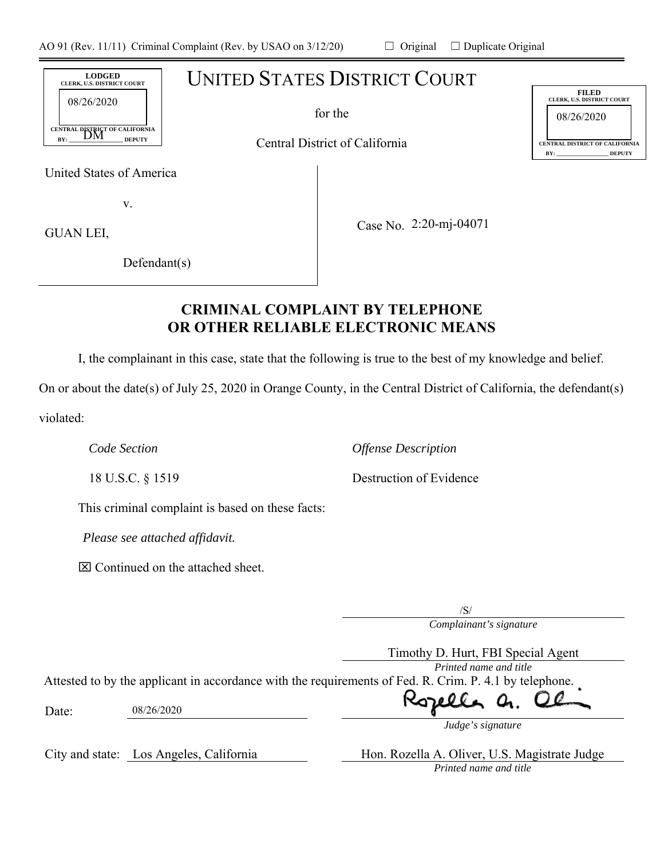# UNITED STATES DISTRICT COURT

for the

Central District of California

United States of America

CENTRAL DISTRICT OF CALIFORNIA<br>BY: \_\_\_\_DM \_\_\_\_\_\_\_\_\_DEPUTY

 $_{BY:}$   $_{DIVI}$   $_{DEPUTY}$ 

**LODGED CLERK, U.S. DISTRICT COURT** 

08/26/2020

v.

GUAN LEI,

Case No. 2:20-mj-04071

Defendant(s)

# **CRIMINAL COMPLAINT BY TELEPHONE OR OTHER RELIABLE ELECTRONIC MEANS**

I, the complainant in this case, state that the following is true to the best of my knowledge and belief.

On or about the date(s) of July 25, 2020 in Orange County, in the Central District of California, the defendant(s) violated:

*Code Section Offense Description* 

This criminal complaint is based on these facts:

*Please see attached affidavit.* 

 $\boxtimes$  Continued on the attached sheet.

*Complainant's signature*  /S/

*Printed name and title*  Attested to by the applicant in accordance with the requirements of Fed. R. Crim. P. 4.1 by telephone.

Date: 08/26/2020

City and state: Los Angeles, California Hon. Rozella A. Oliver, U.S. Magistrate Judge *Printed name and title* 

*Judge's signature*

08/26/2020 **FILED CLERK, U.S. DISTRICT COURT CENTRAL DISTRICT OF CALIFORNIA BY: \_\_\_\_\_\_\_\_\_\_\_\_\_\_\_\_\_\_\_ DEPUTY**

18 U.S.C. § 1519 Destruction of Evidence

Timothy D. Hurt, FBI Special Agent

Rozell Ц.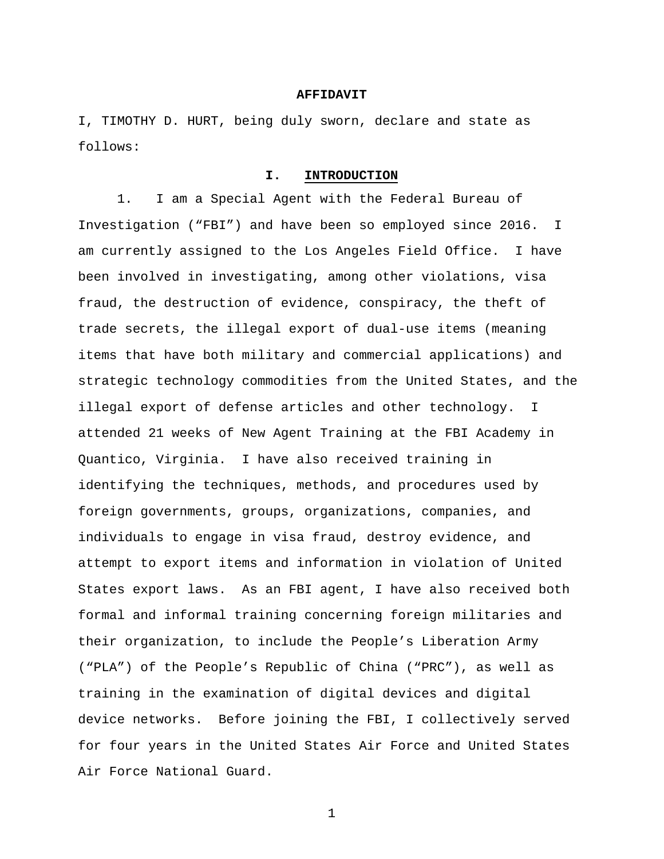#### **AFFIDAVIT**

I, TIMOTHY D. HURT, being duly sworn, declare and state as follows:

#### **I. INTRODUCTION**

1. I am a Special Agent with the Federal Bureau of Investigation ("FBI") and have been so employed since 2016. I am currently assigned to the Los Angeles Field Office. I have been involved in investigating, among other violations, visa fraud, the destruction of evidence, conspiracy, the theft of trade secrets, the illegal export of dual-use items (meaning items that have both military and commercial applications) and strategic technology commodities from the United States, and the illegal export of defense articles and other technology. I attended 21 weeks of New Agent Training at the FBI Academy in Quantico, Virginia. I have also received training in identifying the techniques, methods, and procedures used by foreign governments, groups, organizations, companies, and individuals to engage in visa fraud, destroy evidence, and attempt to export items and information in violation of United States export laws. As an FBI agent, I have also received both formal and informal training concerning foreign militaries and their organization, to include the People's Liberation Army ("PLA") of the People's Republic of China ("PRC"), as well as training in the examination of digital devices and digital device networks. Before joining the FBI, I collectively served for four years in the United States Air Force and United States Air Force National Guard.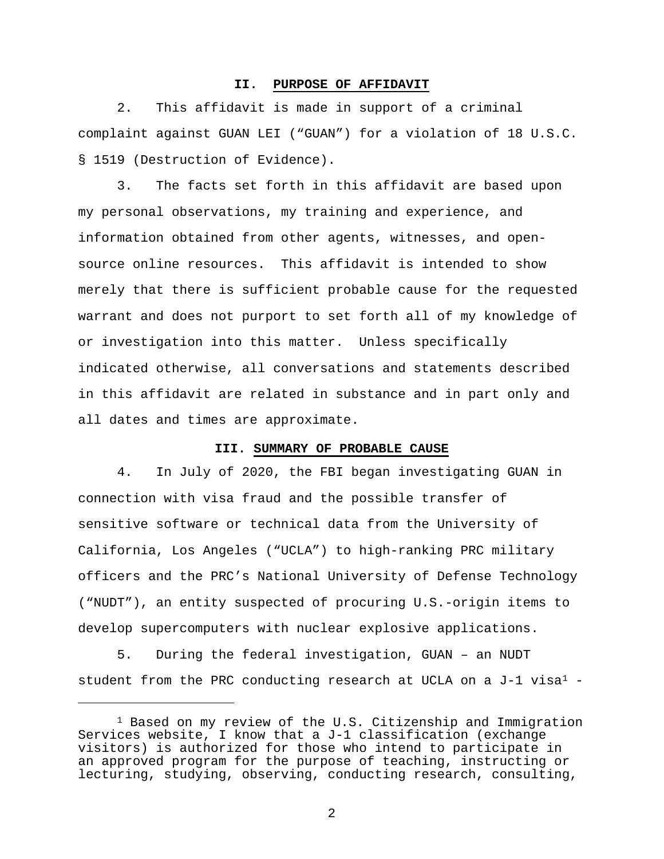#### **II. PURPOSE OF AFFIDAVIT**

2. This affidavit is made in support of a criminal complaint against GUAN LEI ("GUAN") for a violation of 18 U.S.C. § 1519 (Destruction of Evidence).

3. The facts set forth in this affidavit are based upon my personal observations, my training and experience, and information obtained from other agents, witnesses, and opensource online resources. This affidavit is intended to show merely that there is sufficient probable cause for the requested warrant and does not purport to set forth all of my knowledge of or investigation into this matter. Unless specifically indicated otherwise, all conversations and statements described in this affidavit are related in substance and in part only and all dates and times are approximate.

### **III. SUMMARY OF PROBABLE CAUSE**

4. In July of 2020, the FBI began investigating GUAN in connection with visa fraud and the possible transfer of sensitive software or technical data from the University of California, Los Angeles ("UCLA") to high-ranking PRC military officers and the PRC's National University of Defense Technology ("NUDT"), an entity suspected of procuring U.S.-origin items to develop supercomputers with nuclear explosive applications.

5. During the federal investigation, GUAN – an NUDT student from the PRC conducting research at UCLA on a  $J-1$  visa<sup>1</sup> -

Ĩ.

<sup>&</sup>lt;sup>1</sup> Based on my review of the U.S. Citizenship and Immigration Services website, I know that a J-1 classification (exchange visitors) is authorized for those who intend to participate in an approved program for the purpose of teaching, instructing or lecturing, studying, observing, conducting research, consulting,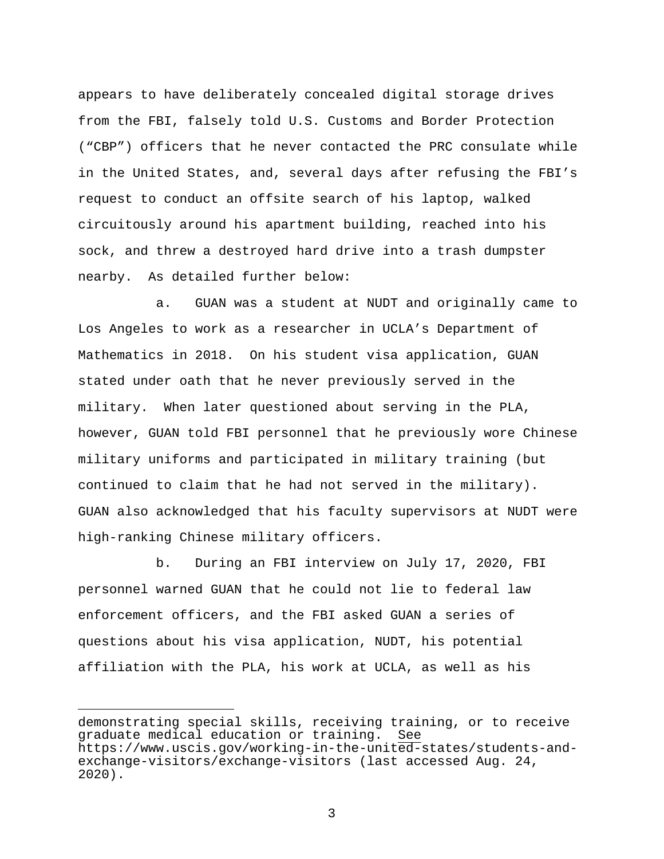appears to have deliberately concealed digital storage drives from the FBI, falsely told U.S. Customs and Border Protection ("CBP") officers that he never contacted the PRC consulate while in the United States, and, several days after refusing the FBI's request to conduct an offsite search of his laptop, walked circuitously around his apartment building, reached into his sock, and threw a destroyed hard drive into a trash dumpster nearby. As detailed further below:

a. GUAN was a student at NUDT and originally came to Los Angeles to work as a researcher in UCLA's Department of Mathematics in 2018. On his student visa application, GUAN stated under oath that he never previously served in the military. When later questioned about serving in the PLA, however, GUAN told FBI personnel that he previously wore Chinese military uniforms and participated in military training (but continued to claim that he had not served in the military). GUAN also acknowledged that his faculty supervisors at NUDT were high-ranking Chinese military officers.

b. During an FBI interview on July 17, 2020, FBI personnel warned GUAN that he could not lie to federal law enforcement officers, and the FBI asked GUAN a series of questions about his visa application, NUDT, his potential affiliation with the PLA, his work at UCLA, as well as his

Ĩ.

demonstrating special skills, receiving training, or to receive graduate medical education or training. See https://www.uscis.gov/working-in-the-united-states/students-andexchange-visitors/exchange-visitors (last accessed Aug. 24, 2020).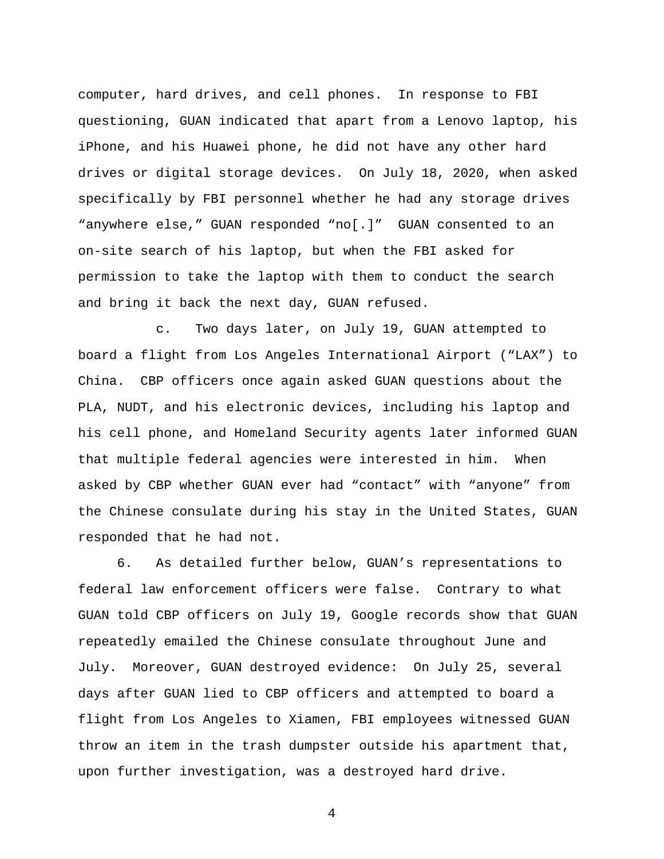computer, hard drives, and cell phones. In response to FBI questioning, GUAN indicated that apart from a Lenovo laptop, his iPhone, and his Huawei phone, he did not have any other hard drives or digital storage devices. On July 18, 2020, when asked specifically by FBI personnel whether he had any storage drives "anywhere else," GUAN responded "no[.]" GUAN consented to an on-site search of his laptop, but when the FBI asked for permission to take the laptop with them to conduct the search and bring it back the next day, GUAN refused.

c. Two days later, on July 19, GUAN attempted to board a flight from Los Angeles International Airport ("LAX") to China. CBP officers once again asked GUAN questions about the PLA, NUDT, and his electronic devices, including his laptop and his cell phone, and Homeland Security agents later informed GUAN that multiple federal agencies were interested in him. When asked by CBP whether GUAN ever had "contact" with "anyone" from the Chinese consulate during his stay in the United States, GUAN responded that he had not.

6. As detailed further below, GUAN's representations to federal law enforcement officers were false. Contrary to what GUAN told CBP officers on July 19, Google records show that GUAN repeatedly emailed the Chinese consulate throughout June and July. Moreover, GUAN destroyed evidence: On July 25, several days after GUAN lied to CBP officers and attempted to board a flight from Los Angeles to Xiamen, FBI employees witnessed GUAN throw an item in the trash dumpster outside his apartment that, upon further investigation, was a destroyed hard drive.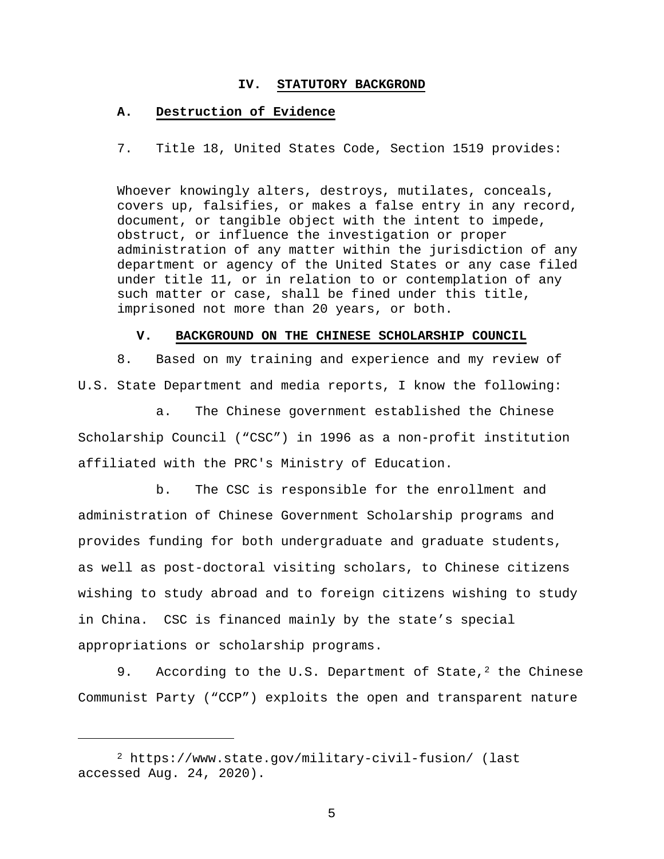#### **IV. STATUTORY BACKGROND**

### **A. Destruction of Evidence**

7. Title 18, United States Code, Section 1519 provides:

Whoever knowingly alters, destroys, mutilates, conceals, covers up, falsifies, or makes a false entry in any record, document, or tangible object with the intent to impede, obstruct, or influence the investigation or proper administration of any matter within the jurisdiction of any department or agency of the United States or any case filed under title 11, or in relation to or contemplation of any such matter or case, shall be fined under this title, imprisoned not more than 20 years, or both.

#### **V. BACKGROUND ON THE CHINESE SCHOLARSHIP COUNCIL**

8. Based on my training and experience and my review of U.S. State Department and media reports, I know the following:

a. The Chinese government established the Chinese Scholarship Council ("CSC") in 1996 as a non-profit institution affiliated with the PRC's Ministry of Education.

b. The CSC is responsible for the enrollment and administration of Chinese Government Scholarship programs and provides funding for both undergraduate and graduate students, as well as post-doctoral visiting scholars, to Chinese citizens wishing to study abroad and to foreign citizens wishing to study in China. CSC is financed mainly by the state's special appropriations or scholarship programs.

9. According to the U.S. Department of State,<sup>2</sup> the Chinese Communist Party ("CCP") exploits the open and transparent nature

Ĩ.

<sup>2</sup> https://www.state.gov/military-civil-fusion/ (last accessed Aug. 24, 2020).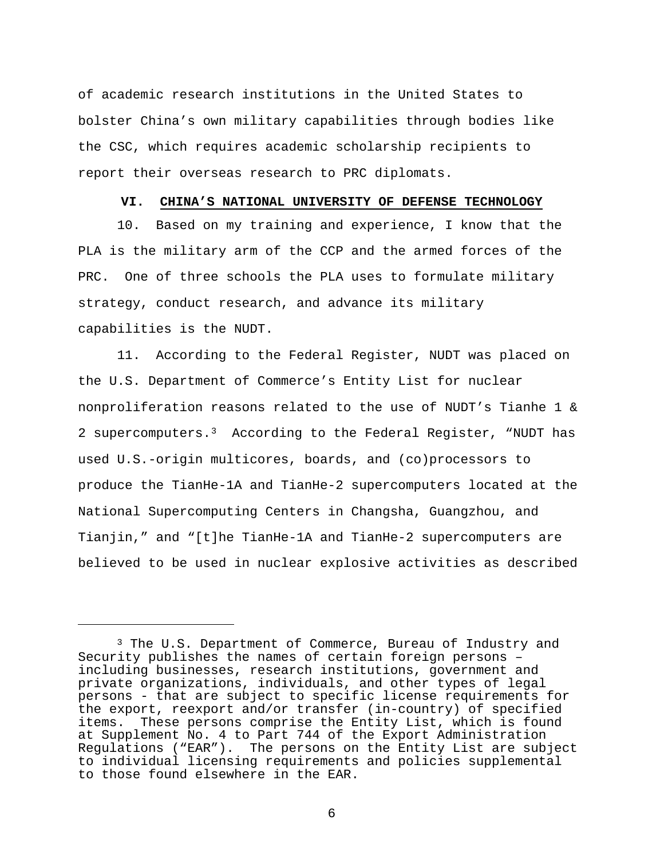of academic research institutions in the United States to bolster China's own military capabilities through bodies like the CSC, which requires academic scholarship recipients to report their overseas research to PRC diplomats.

#### **VI. CHINA'S NATIONAL UNIVERSITY OF DEFENSE TECHNOLOGY**

10. Based on my training and experience, I know that the PLA is the military arm of the CCP and the armed forces of the PRC. One of three schools the PLA uses to formulate military strategy, conduct research, and advance its military capabilities is the NUDT.

11. According to the Federal Register, NUDT was placed on the U.S. Department of Commerce's Entity List for nuclear nonproliferation reasons related to the use of NUDT's Tianhe 1 & 2 supercomputers.3 According to the Federal Register, "NUDT has used U.S.-origin multicores, boards, and (co)processors to produce the TianHe-1A and TianHe-2 supercomputers located at the National Supercomputing Centers in Changsha, Guangzhou, and Tianjin," and "[t]he TianHe-1A and TianHe-2 supercomputers are believed to be used in nuclear explosive activities as described

Ĩ.

<sup>&</sup>lt;sup>3</sup> The U.S. Department of Commerce, Bureau of Industry and Security publishes the names of certain foreign persons  $$ including businesses, research institutions, government and private organizations, individuals, and other types of legal persons - that are subject to specific license requirements for the export, reexport and/or transfer (in-country) of specified items. These persons comprise the Entity List, which is found at Supplement No. 4 to Part 744 of the Export Administration Regulations ("EAR"). The persons on the Entity List are subject to individual licensing requirements and policies supplemental to those found elsewhere in the EAR.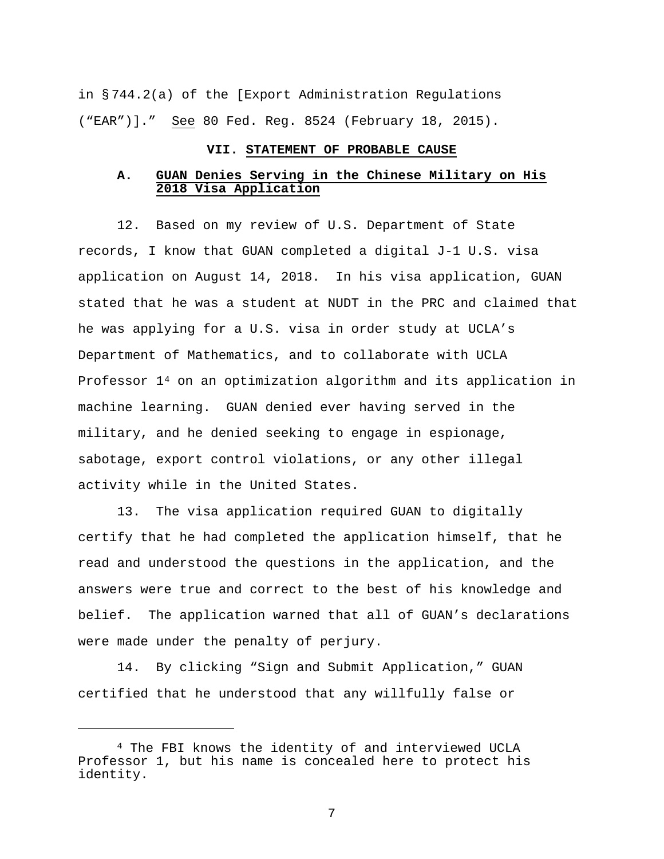in § 744.2(a) of the [Export Administration Regulations ("EAR")]." See 80 Fed. Reg. 8524 (February 18, 2015).

## **VII. STATEMENT OF PROBABLE CAUSE**

## **A. GUAN Denies Serving in the Chinese Military on His 2018 Visa Application**

12. Based on my review of U.S. Department of State records, I know that GUAN completed a digital J-1 U.S. visa application on August 14, 2018. In his visa application, GUAN stated that he was a student at NUDT in the PRC and claimed that he was applying for a U.S. visa in order study at UCLA's Department of Mathematics, and to collaborate with UCLA Professor 14 on an optimization algorithm and its application in machine learning. GUAN denied ever having served in the military, and he denied seeking to engage in espionage, sabotage, export control violations, or any other illegal activity while in the United States.

13. The visa application required GUAN to digitally certify that he had completed the application himself, that he read and understood the questions in the application, and the answers were true and correct to the best of his knowledge and belief. The application warned that all of GUAN's declarations were made under the penalty of perjury.

14. By clicking "Sign and Submit Application," GUAN certified that he understood that any willfully false or

Ĩ.

<sup>4</sup> The FBI knows the identity of and interviewed UCLA Professor 1, but his name is concealed here to protect his identity.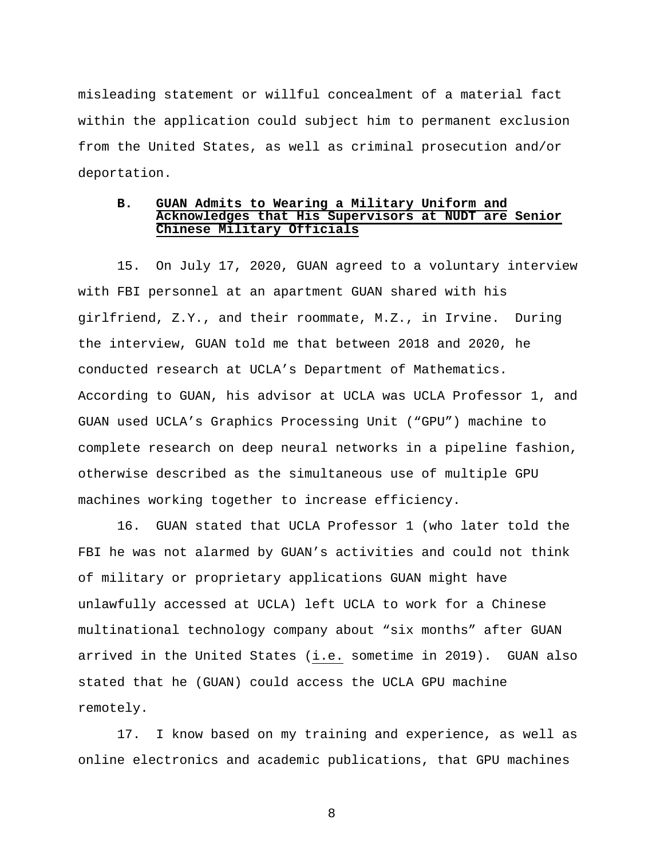misleading statement or willful concealment of a material fact within the application could subject him to permanent exclusion from the United States, as well as criminal prosecution and/or deportation.

## **B. GUAN Admits to Wearing a Military Uniform and Acknowledges that His Supervisors at NUDT are Senior Chinese Military Officials**

15. On July 17, 2020, GUAN agreed to a voluntary interview with FBI personnel at an apartment GUAN shared with his girlfriend, Z.Y., and their roommate, M.Z., in Irvine. During the interview, GUAN told me that between 2018 and 2020, he conducted research at UCLA's Department of Mathematics. According to GUAN, his advisor at UCLA was UCLA Professor 1, and GUAN used UCLA's Graphics Processing Unit ("GPU") machine to complete research on deep neural networks in a pipeline fashion, otherwise described as the simultaneous use of multiple GPU machines working together to increase efficiency.

16. GUAN stated that UCLA Professor 1 (who later told the FBI he was not alarmed by GUAN's activities and could not think of military or proprietary applications GUAN might have unlawfully accessed at UCLA) left UCLA to work for a Chinese multinational technology company about "six months" after GUAN arrived in the United States (i.e. sometime in 2019). GUAN also stated that he (GUAN) could access the UCLA GPU machine remotely.

17. I know based on my training and experience, as well as online electronics and academic publications, that GPU machines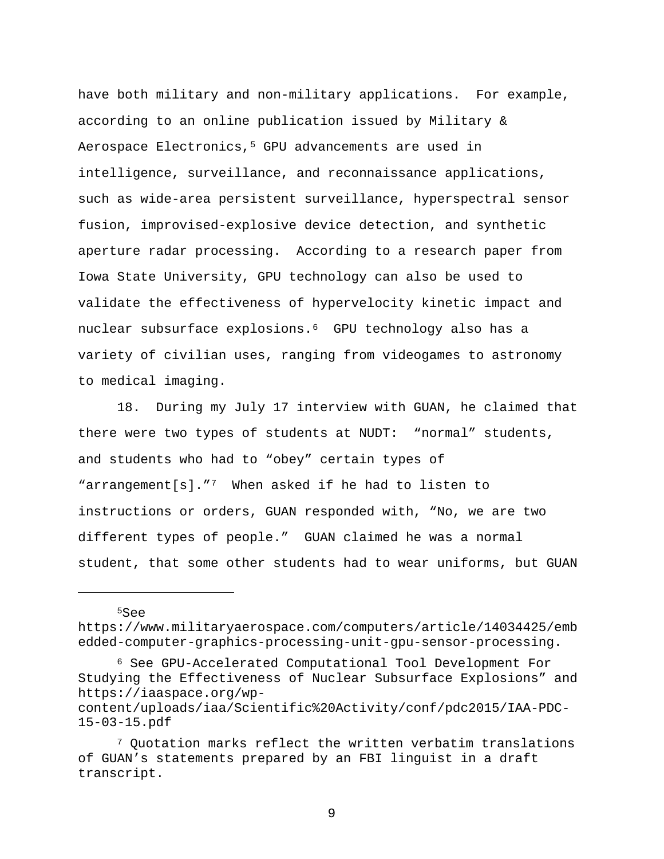have both military and non-military applications. For example, according to an online publication issued by Military & Aerospace Electronics,<sup>5</sup> GPU advancements are used in intelligence, surveillance, and reconnaissance applications, such as wide-area persistent surveillance, hyperspectral sensor fusion, improvised-explosive device detection, and synthetic aperture radar processing. According to a research paper from Iowa State University, GPU technology can also be used to validate the effectiveness of hypervelocity kinetic impact and nuclear subsurface explosions.6 GPU technology also has a variety of civilian uses, ranging from videogames to astronomy to medical imaging.

18. During my July 17 interview with GUAN, he claimed that there were two types of students at NUDT: "normal" students, and students who had to "obey" certain types of "arrangement[s]."7 When asked if he had to listen to instructions or orders, GUAN responded with, "No, we are two different types of people." GUAN claimed he was a normal student, that some other students had to wear uniforms, but GUAN

 $5S$ ee

Ĩ.

https://www.militaryaerospace.com/computers/article/14034425/emb edded-computer-graphics-processing-unit-gpu-sensor-processing.

<sup>6</sup> See GPU-Accelerated Computational Tool Development For Studying the Effectiveness of Nuclear Subsurface Explosions" and https://iaaspace.org/wp-

content/uploads/iaa/Scientific%20Activity/conf/pdc2015/IAA-PDC-15-03-15.pdf

<sup>7</sup> Quotation marks reflect the written verbatim translations of GUAN's statements prepared by an FBI linguist in a draft transcript.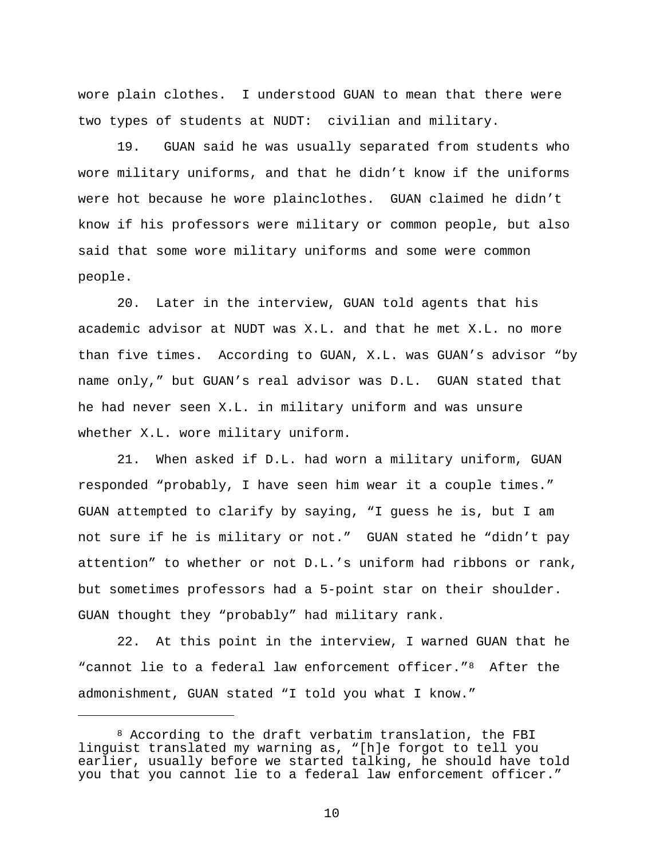wore plain clothes. I understood GUAN to mean that there were two types of students at NUDT: civilian and military.

19. GUAN said he was usually separated from students who wore military uniforms, and that he didn't know if the uniforms were hot because he wore plainclothes. GUAN claimed he didn't know if his professors were military or common people, but also said that some wore military uniforms and some were common people.

20. Later in the interview, GUAN told agents that his academic advisor at NUDT was X.L. and that he met X.L. no more than five times. According to GUAN, X.L. was GUAN's advisor "by name only," but GUAN's real advisor was D.L. GUAN stated that he had never seen X.L. in military uniform and was unsure whether X.L. wore military uniform.

21. When asked if D.L. had worn a military uniform, GUAN responded "probably, I have seen him wear it a couple times." GUAN attempted to clarify by saying, "I guess he is, but I am not sure if he is military or not." GUAN stated he "didn't pay attention" to whether or not D.L.'s uniform had ribbons or rank, but sometimes professors had a 5-point star on their shoulder. GUAN thought they "probably" had military rank.

22. At this point in the interview, I warned GUAN that he "cannot lie to a federal law enforcement officer."<sup>8</sup> After the admonishment, GUAN stated "I told you what I know."

Ĩ.

<sup>8</sup> According to the draft verbatim translation, the FBI linguist translated my warning as, "[h]e forgot to tell you earlier, usually before we started talking, he should have told you that you cannot lie to a federal law enforcement officer."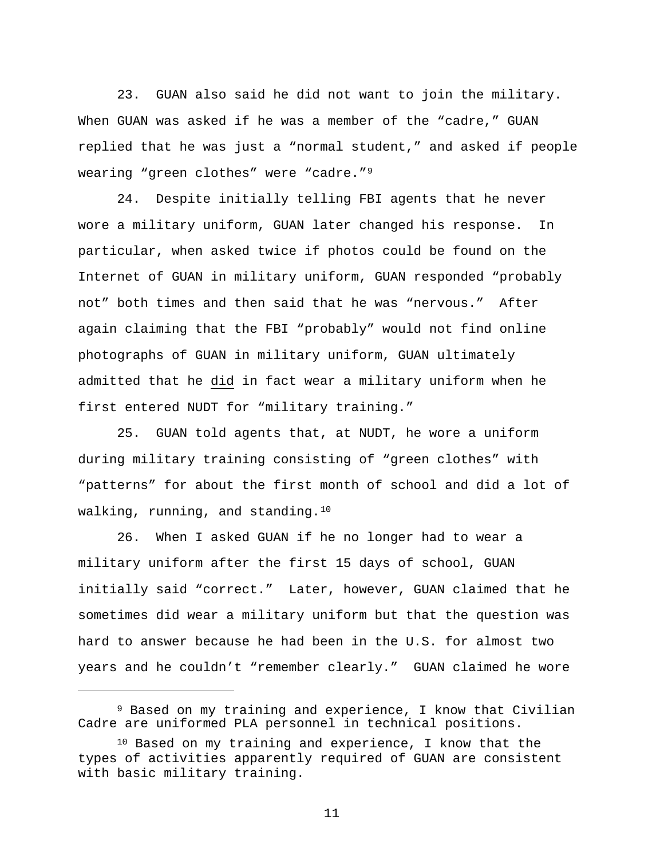23. GUAN also said he did not want to join the military. When GUAN was asked if he was a member of the "cadre," GUAN replied that he was just a "normal student," and asked if people wearing "green clothes" were "cadre."9

24. Despite initially telling FBI agents that he never wore a military uniform, GUAN later changed his response. In particular, when asked twice if photos could be found on the Internet of GUAN in military uniform, GUAN responded "probably not" both times and then said that he was "nervous." After again claiming that the FBI "probably" would not find online photographs of GUAN in military uniform, GUAN ultimately admitted that he did in fact wear a military uniform when he first entered NUDT for "military training."

25. GUAN told agents that, at NUDT, he wore a uniform during military training consisting of "green clothes" with "patterns" for about the first month of school and did a lot of walking, running, and standing.<sup>10</sup>

26. When I asked GUAN if he no longer had to wear a military uniform after the first 15 days of school, GUAN initially said "correct." Later, however, GUAN claimed that he sometimes did wear a military uniform but that the question was hard to answer because he had been in the U.S. for almost two years and he couldn't "remember clearly." GUAN claimed he wore

Ĩ.

<sup>9</sup> Based on my training and experience, I know that Civilian Cadre are uniformed PLA personnel in technical positions.

<sup>10</sup> Based on my training and experience, I know that the types of activities apparently required of GUAN are consistent with basic military training.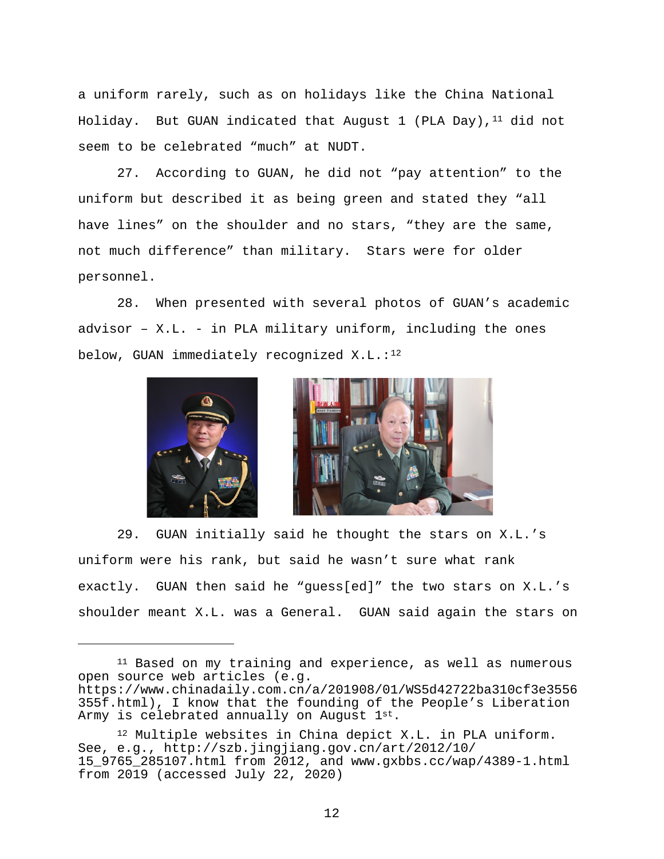a uniform rarely, such as on holidays like the China National Holiday. But GUAN indicated that August  $1$  (PLA Day),  $^{11}$  did not seem to be celebrated "much" at NUDT.

27. According to GUAN, he did not "pay attention" to the uniform but described it as being green and stated they "all have lines" on the shoulder and no stars, "they are the same, not much difference" than military. Stars were for older personnel.

28. When presented with several photos of GUAN's academic advisor – X.L. - in PLA military uniform, including the ones below, GUAN immediately recognized  $X.L.:<sup>12</sup>$ 



Ĩ.



29. GUAN initially said he thought the stars on X.L.'s uniform were his rank, but said he wasn't sure what rank exactly. GUAN then said he "guess[ed]" the two stars on X.L.'s shoulder meant X.L. was a General. GUAN said again the stars on

<sup>&</sup>lt;sup>11</sup> Based on my training and experience, as well as numerous open source web articles (e.g. https://www.chinadaily.com.cn/a/201908/01/WS5d42722ba310cf3e3556 355f.html), I know that the founding of the People's Liberation Army is celebrated annually on August 1st.

<sup>12</sup> Multiple websites in China depict X.L. in PLA uniform. See, e.g., http://szb.jingjiang.gov.cn/art/2012/10/ 15\_9765\_285107.html from 2012, and www.gxbbs.cc/wap/4389-1.html from 2019 (accessed July 22, 2020)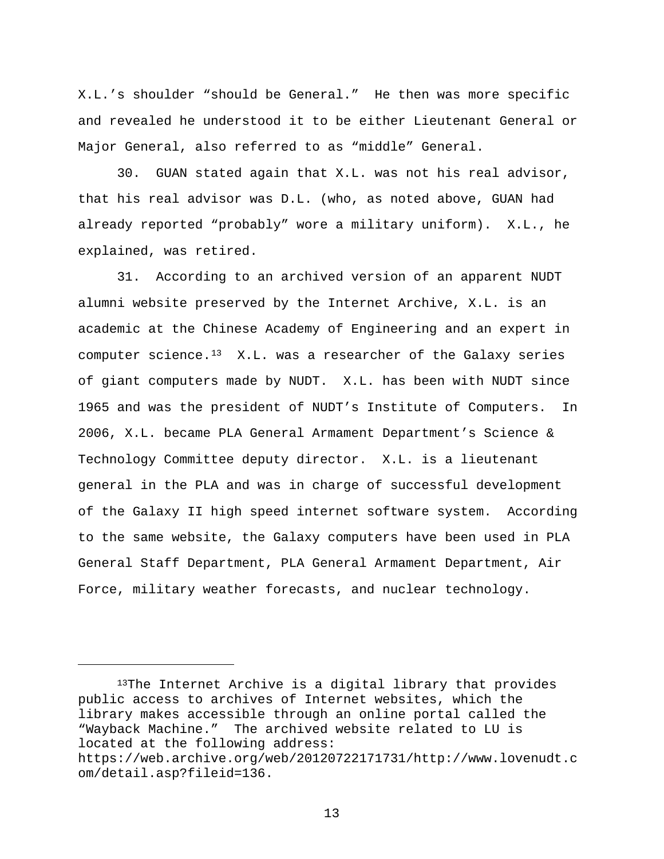X.L.'s shoulder "should be General." He then was more specific and revealed he understood it to be either Lieutenant General or Major General, also referred to as "middle" General.

30. GUAN stated again that X.L. was not his real advisor, that his real advisor was D.L. (who, as noted above, GUAN had already reported "probably" wore a military uniform). X.L., he explained, was retired.

31. According to an archived version of an apparent NUDT alumni website preserved by the Internet Archive, X.L. is an academic at the Chinese Academy of Engineering and an expert in computer science. $13$  X.L. was a researcher of the Galaxy series of giant computers made by NUDT. X.L. has been with NUDT since 1965 and was the president of NUDT's Institute of Computers. In 2006, X.L. became PLA General Armament Department's Science & Technology Committee deputy director. X.L. is a lieutenant general in the PLA and was in charge of successful development of the Galaxy II high speed internet software system. According to the same website, the Galaxy computers have been used in PLA General Staff Department, PLA General Armament Department, Air Force, military weather forecasts, and nuclear technology.

<sup>13</sup>The Internet Archive is a digital library that provides public access to archives of Internet websites, which the library makes accessible through an online portal called the "Wayback Machine." The archived website related to LU is located at the following address:

Ĩ.

https://web.archive.org/web/20120722171731/http://www.lovenudt.c om/detail.asp?fileid=136.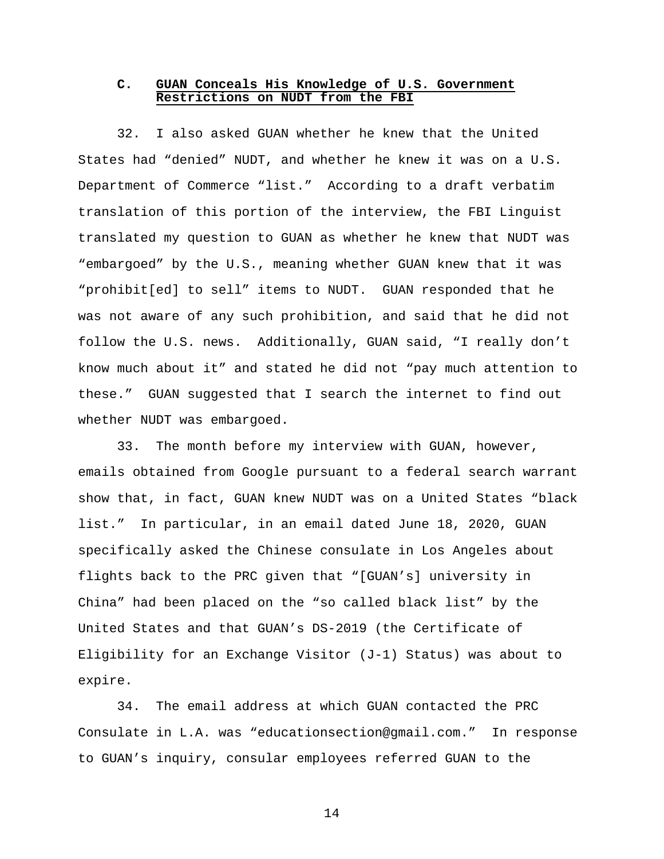## **C. GUAN Conceals His Knowledge of U.S. Government Restrictions on NUDT from the FBI**

32. I also asked GUAN whether he knew that the United States had "denied" NUDT, and whether he knew it was on a U.S. Department of Commerce "list." According to a draft verbatim translation of this portion of the interview, the FBI Linguist translated my question to GUAN as whether he knew that NUDT was "embargoed" by the U.S., meaning whether GUAN knew that it was "prohibit[ed] to sell" items to NUDT. GUAN responded that he was not aware of any such prohibition, and said that he did not follow the U.S. news. Additionally, GUAN said, "I really don't know much about it" and stated he did not "pay much attention to these." GUAN suggested that I search the internet to find out whether NUDT was embargoed.

33. The month before my interview with GUAN, however, emails obtained from Google pursuant to a federal search warrant show that, in fact, GUAN knew NUDT was on a United States "black list." In particular, in an email dated June 18, 2020, GUAN specifically asked the Chinese consulate in Los Angeles about flights back to the PRC given that "[GUAN's] university in China" had been placed on the "so called black list" by the United States and that GUAN's DS-2019 (the Certificate of Eligibility for an Exchange Visitor (J-1) Status) was about to expire.

34. The email address at which GUAN contacted the PRC Consulate in L.A. was "educationsection@gmail.com." In response to GUAN's inquiry, consular employees referred GUAN to the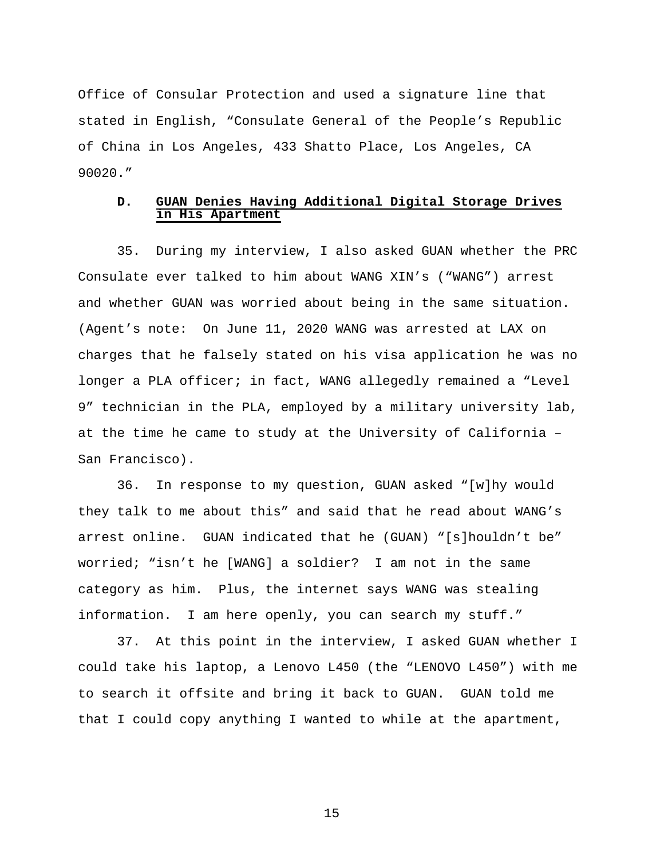Office of Consular Protection and used a signature line that stated in English, "Consulate General of the People's Republic of China in Los Angeles, 433 Shatto Place, Los Angeles, CA 90020."

# **D. GUAN Denies Having Additional Digital Storage Drives in His Apartment**

35. During my interview, I also asked GUAN whether the PRC Consulate ever talked to him about WANG XIN's ("WANG") arrest and whether GUAN was worried about being in the same situation. (Agent's note: On June 11, 2020 WANG was arrested at LAX on charges that he falsely stated on his visa application he was no longer a PLA officer; in fact, WANG allegedly remained a "Level 9" technician in the PLA, employed by a military university lab, at the time he came to study at the University of California – San Francisco).

36. In response to my question, GUAN asked "[w]hy would they talk to me about this" and said that he read about WANG's arrest online. GUAN indicated that he (GUAN) "[s]houldn't be" worried; "isn't he [WANG] a soldier? I am not in the same category as him. Plus, the internet says WANG was stealing information. I am here openly, you can search my stuff."

37. At this point in the interview, I asked GUAN whether I could take his laptop, a Lenovo L450 (the "LENOVO L450") with me to search it offsite and bring it back to GUAN. GUAN told me that I could copy anything I wanted to while at the apartment,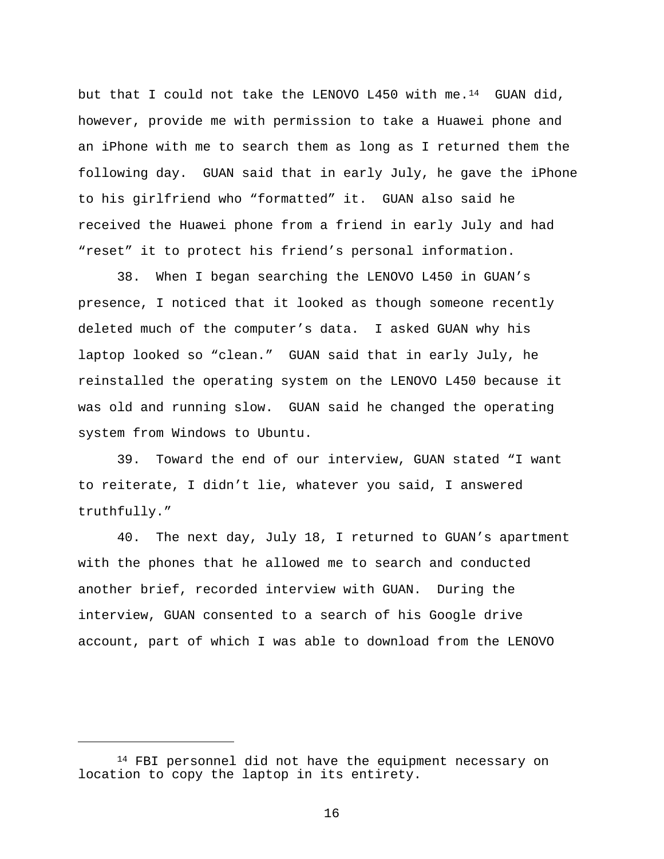but that I could not take the LENOVO L450 with me.<sup>14</sup> GUAN did, however, provide me with permission to take a Huawei phone and an iPhone with me to search them as long as I returned them the following day. GUAN said that in early July, he gave the iPhone to his girlfriend who "formatted" it. GUAN also said he received the Huawei phone from a friend in early July and had "reset" it to protect his friend's personal information.

38. When I began searching the LENOVO L450 in GUAN's presence, I noticed that it looked as though someone recently deleted much of the computer's data. I asked GUAN why his laptop looked so "clean." GUAN said that in early July, he reinstalled the operating system on the LENOVO L450 because it was old and running slow. GUAN said he changed the operating system from Windows to Ubuntu.

39. Toward the end of our interview, GUAN stated "I want to reiterate, I didn't lie, whatever you said, I answered truthfully."

40. The next day, July 18, I returned to GUAN's apartment with the phones that he allowed me to search and conducted another brief, recorded interview with GUAN. During the interview, GUAN consented to a search of his Google drive account, part of which I was able to download from the LENOVO

Ĩ.

<sup>14</sup> FBI personnel did not have the equipment necessary on location to copy the laptop in its entirety.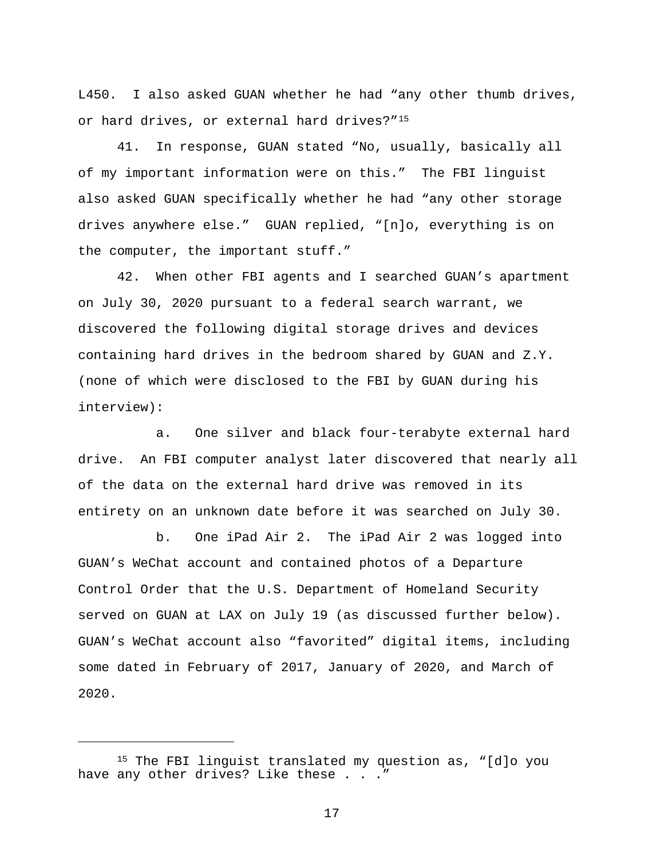L450. I also asked GUAN whether he had "any other thumb drives, or hard drives, or external hard drives?"15

41. In response, GUAN stated "No, usually, basically all of my important information were on this." The FBI linguist also asked GUAN specifically whether he had "any other storage drives anywhere else." GUAN replied, "[n]o, everything is on the computer, the important stuff."

42. When other FBI agents and I searched GUAN's apartment on July 30, 2020 pursuant to a federal search warrant, we discovered the following digital storage drives and devices containing hard drives in the bedroom shared by GUAN and Z.Y. (none of which were disclosed to the FBI by GUAN during his interview):

a. One silver and black four-terabyte external hard drive. An FBI computer analyst later discovered that nearly all of the data on the external hard drive was removed in its entirety on an unknown date before it was searched on July 30.

b. One iPad Air 2. The iPad Air 2 was logged into GUAN's WeChat account and contained photos of a Departure Control Order that the U.S. Department of Homeland Security served on GUAN at LAX on July 19 (as discussed further below). GUAN's WeChat account also "favorited" digital items, including some dated in February of 2017, January of 2020, and March of 2020.

Ĩ.

<sup>15</sup> The FBI linguist translated my question as, "[d]o you have any other drives? Like these . . ."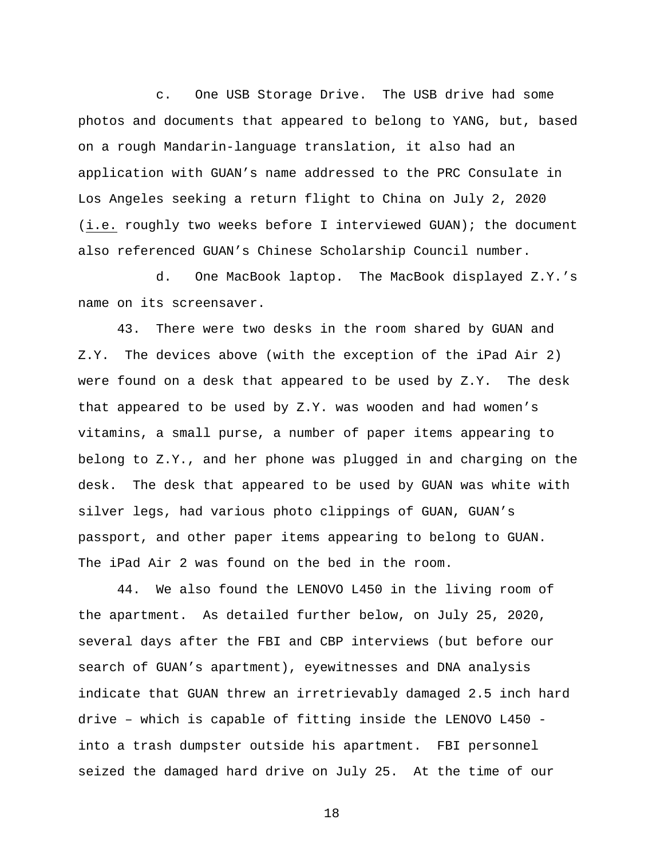c. One USB Storage Drive. The USB drive had some photos and documents that appeared to belong to YANG, but, based on a rough Mandarin-language translation, it also had an application with GUAN's name addressed to the PRC Consulate in Los Angeles seeking a return flight to China on July 2, 2020 (i.e. roughly two weeks before I interviewed GUAN); the document also referenced GUAN's Chinese Scholarship Council number.

d. One MacBook laptop. The MacBook displayed Z.Y.'s name on its screensaver.

43. There were two desks in the room shared by GUAN and Z.Y. The devices above (with the exception of the iPad Air 2) were found on a desk that appeared to be used by Z.Y. The desk that appeared to be used by Z.Y. was wooden and had women's vitamins, a small purse, a number of paper items appearing to belong to Z.Y., and her phone was plugged in and charging on the desk. The desk that appeared to be used by GUAN was white with silver legs, had various photo clippings of GUAN, GUAN's passport, and other paper items appearing to belong to GUAN. The iPad Air 2 was found on the bed in the room.

44. We also found the LENOVO L450 in the living room of the apartment. As detailed further below, on July 25, 2020, several days after the FBI and CBP interviews (but before our search of GUAN's apartment), eyewitnesses and DNA analysis indicate that GUAN threw an irretrievably damaged 2.5 inch hard drive – which is capable of fitting inside the LENOVO L450 into a trash dumpster outside his apartment. FBI personnel seized the damaged hard drive on July 25. At the time of our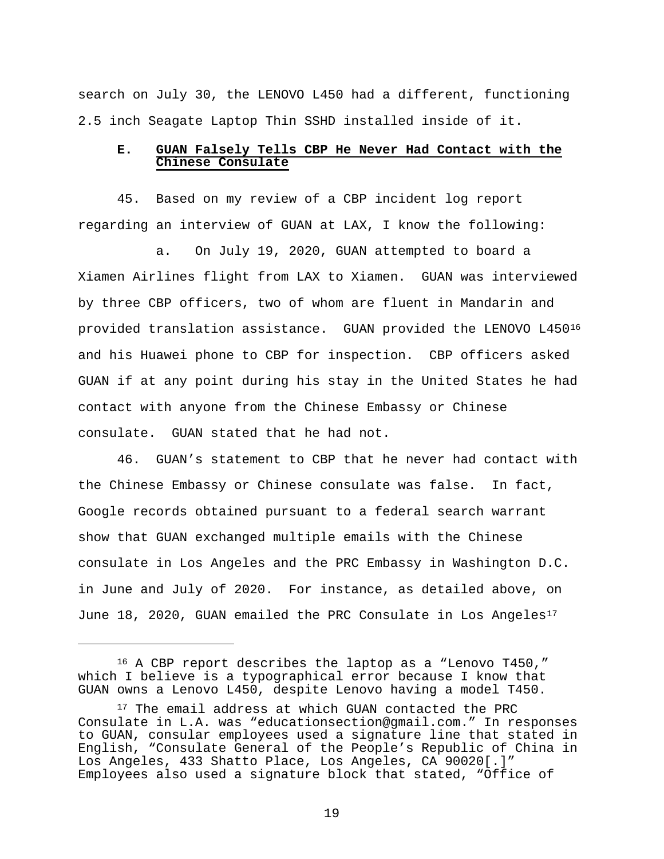search on July 30, the LENOVO L450 had a different, functioning 2.5 inch Seagate Laptop Thin SSHD installed inside of it.

# **E. GUAN Falsely Tells CBP He Never Had Contact with the Chinese Consulate**

45. Based on my review of a CBP incident log report regarding an interview of GUAN at LAX, I know the following:

a. On July 19, 2020, GUAN attempted to board a Xiamen Airlines flight from LAX to Xiamen. GUAN was interviewed by three CBP officers, two of whom are fluent in Mandarin and provided translation assistance. GUAN provided the LENOVO L45016 and his Huawei phone to CBP for inspection. CBP officers asked GUAN if at any point during his stay in the United States he had contact with anyone from the Chinese Embassy or Chinese consulate. GUAN stated that he had not.

46. GUAN's statement to CBP that he never had contact with the Chinese Embassy or Chinese consulate was false. In fact, Google records obtained pursuant to a federal search warrant show that GUAN exchanged multiple emails with the Chinese consulate in Los Angeles and the PRC Embassy in Washington D.C. in June and July of 2020. For instance, as detailed above, on June 18, 2020, GUAN emailed the PRC Consulate in Los Angeles<sup>17</sup>

Ĩ.

<sup>16</sup> A CBP report describes the laptop as a "Lenovo T450," which I believe is a typographical error because I know that GUAN owns a Lenovo L450, despite Lenovo having a model T450.

<sup>&</sup>lt;sup>17</sup> The email address at which GUAN contacted the PRC Consulate in L.A. was "educationsection@gmail.com." In responses to GUAN, consular employees used a signature line that stated in English, "Consulate General of the People's Republic of China in Employees also used a signature block that stated, "Office of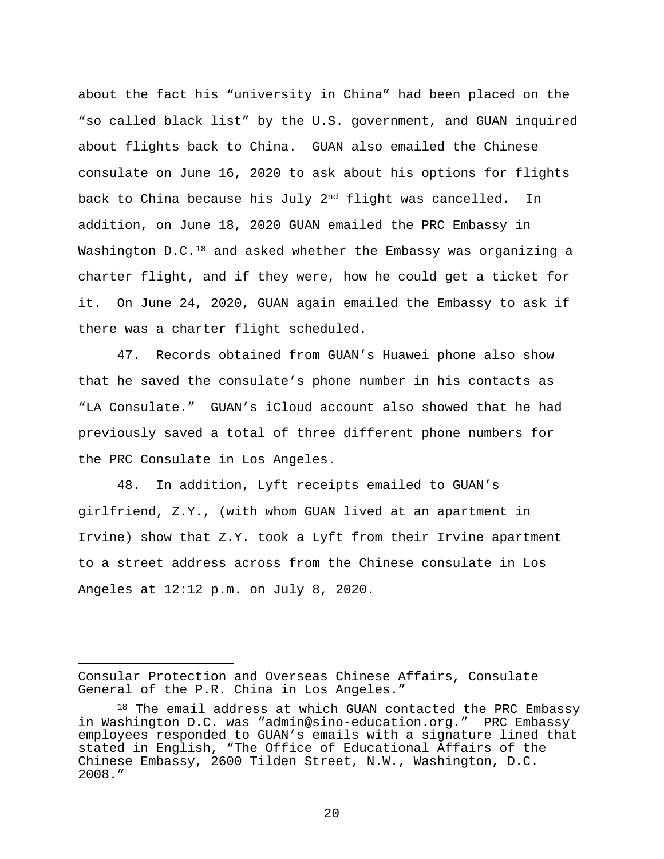about the fact his "university in China" had been placed on the "so called black list" by the U.S. government, and GUAN inquired about flights back to China. GUAN also emailed the Chinese consulate on June 16, 2020 to ask about his options for flights back to China because his July 2nd flight was cancelled. In addition, on June 18, 2020 GUAN emailed the PRC Embassy in Washington  $D.C.18$  and asked whether the Embassy was organizing a charter flight, and if they were, how he could get a ticket for it. On June 24, 2020, GUAN again emailed the Embassy to ask if there was a charter flight scheduled.

47. Records obtained from GUAN's Huawei phone also show that he saved the consulate's phone number in his contacts as "LA Consulate." GUAN's iCloud account also showed that he had previously saved a total of three different phone numbers for the PRC Consulate in Los Angeles.

48. In addition, Lyft receipts emailed to GUAN's girlfriend, Z.Y., (with whom GUAN lived at an apartment in Irvine) show that Z.Y. took a Lyft from their Irvine apartment to a street address across from the Chinese consulate in Los Angeles at 12:12 p.m. on July 8, 2020.

 $2.0$ 

Ĩ. Consular Protection and Overseas Chinese Affairs, Consulate General of the P.R. China in Los Angeles."

 $18$  The email address at which GUAN contacted the PRC Embassy in Washington D.C. was "admin@sino-education.org." PRC Embassy employees responded to GUAN's emails with a signature lined that stated in English, "The Office of Educational Affairs of the Chinese Embassy, 2600 Tilden Street, N.W., Washington, D.C. 2008."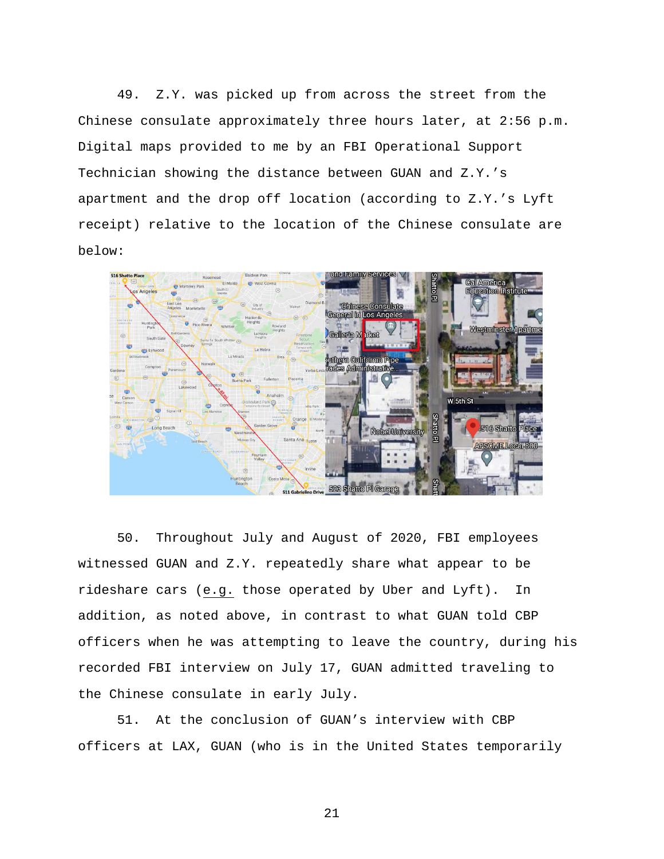49. Z.Y. was picked up from across the street from the Chinese consulate approximately three hours later, at 2:56 p.m. Digital maps provided to me by an FBI Operational Support Technician showing the distance between GUAN and Z.Y.'s apartment and the drop off location (according to Z.Y.'s Lyft receipt) relative to the location of the Chinese consulate are below:



50. Throughout July and August of 2020, FBI employees witnessed GUAN and Z.Y. repeatedly share what appear to be rideshare cars (e.g. those operated by Uber and Lyft). In addition, as noted above, in contrast to what GUAN told CBP officers when he was attempting to leave the country, during his recorded FBI interview on July 17, GUAN admitted traveling to the Chinese consulate in early July.

51. At the conclusion of GUAN's interview with CBP officers at LAX, GUAN (who is in the United States temporarily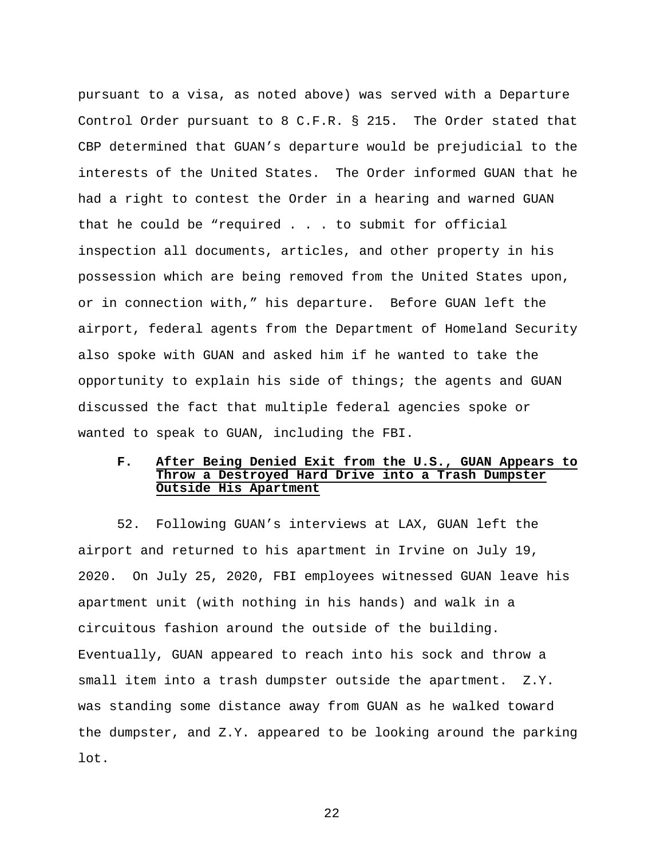pursuant to a visa, as noted above) was served with a Departure Control Order pursuant to 8 C.F.R. § 215. The Order stated that CBP determined that GUAN's departure would be prejudicial to the interests of the United States. The Order informed GUAN that he had a right to contest the Order in a hearing and warned GUAN that he could be "required . . . to submit for official inspection all documents, articles, and other property in his possession which are being removed from the United States upon, or in connection with," his departure. Before GUAN left the airport, federal agents from the Department of Homeland Security also spoke with GUAN and asked him if he wanted to take the opportunity to explain his side of things; the agents and GUAN discussed the fact that multiple federal agencies spoke or wanted to speak to GUAN, including the FBI.

## **F. After Being Denied Exit from the U.S., GUAN Appears to Throw a Destroyed Hard Drive into a Trash Dumpster Outside His Apartment**

52. Following GUAN's interviews at LAX, GUAN left the airport and returned to his apartment in Irvine on July 19, 2020. On July 25, 2020, FBI employees witnessed GUAN leave his apartment unit (with nothing in his hands) and walk in a circuitous fashion around the outside of the building. Eventually, GUAN appeared to reach into his sock and throw a small item into a trash dumpster outside the apartment. Z.Y. was standing some distance away from GUAN as he walked toward the dumpster, and Z.Y. appeared to be looking around the parking lot.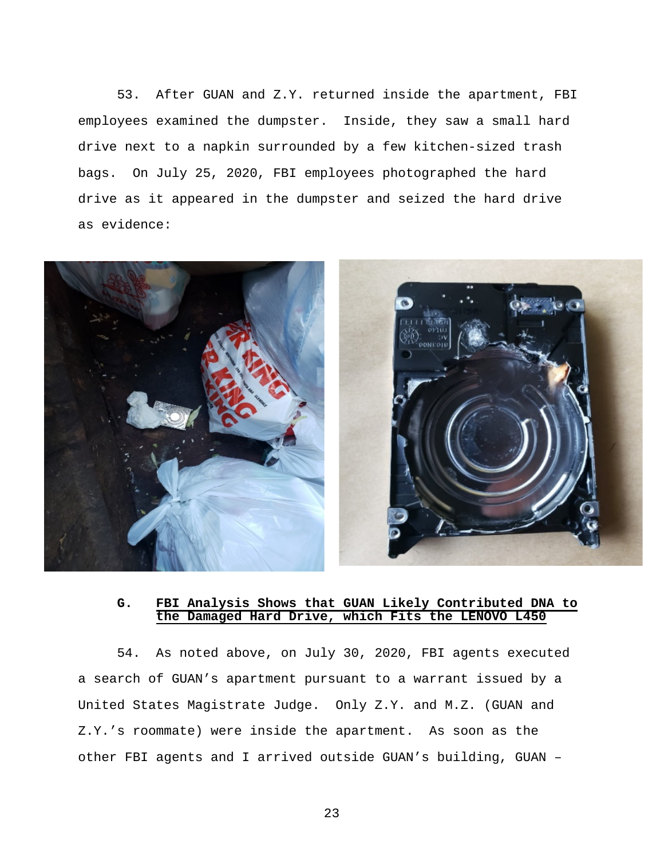53. After GUAN and Z.Y. returned inside the apartment, FBI employees examined the dumpster. Inside, they saw a small hard drive next to a napkin surrounded by a few kitchen-sized trash bags. On July 25, 2020, FBI employees photographed the hard drive as it appeared in the dumpster and seized the hard drive as evidence:



## **G. FBI Analysis Shows that GUAN Likely Contributed DNA to the Damaged Hard Drive, which Fits the LENOVO L450**

54. As noted above, on July 30, 2020, FBI agents executed a search of GUAN's apartment pursuant to a warrant issued by a United States Magistrate Judge. Only Z.Y. and M.Z. (GUAN and Z.Y.'s roommate) were inside the apartment. As soon as the other FBI agents and I arrived outside GUAN's building, GUAN –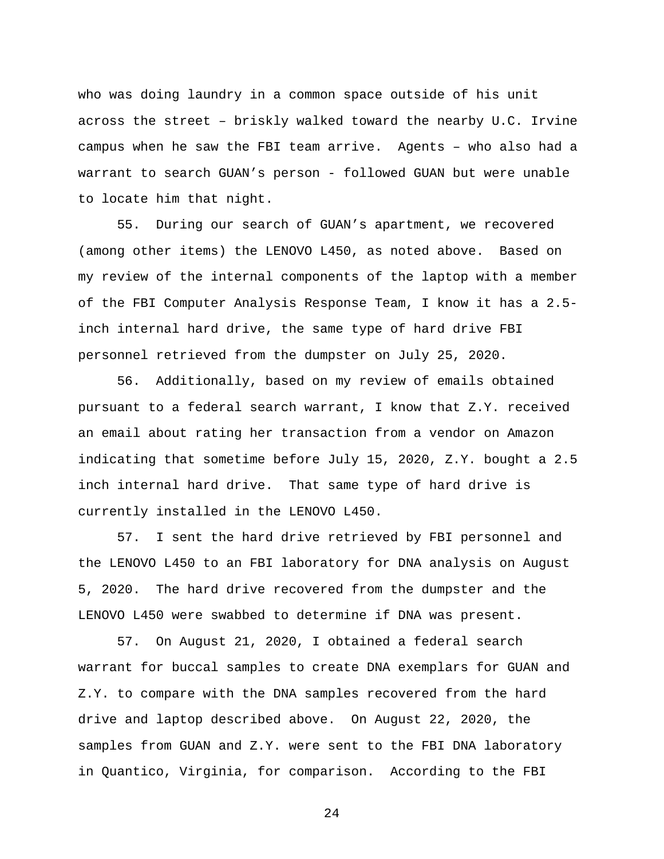who was doing laundry in a common space outside of his unit across the street – briskly walked toward the nearby U.C. Irvine campus when he saw the FBI team arrive. Agents – who also had a warrant to search GUAN's person - followed GUAN but were unable to locate him that night.

55. During our search of GUAN's apartment, we recovered (among other items) the LENOVO L450, as noted above. Based on my review of the internal components of the laptop with a member of the FBI Computer Analysis Response Team, I know it has a 2.5 inch internal hard drive, the same type of hard drive FBI personnel retrieved from the dumpster on July 25, 2020.

56. Additionally, based on my review of emails obtained pursuant to a federal search warrant, I know that Z.Y. received an email about rating her transaction from a vendor on Amazon indicating that sometime before July 15, 2020, Z.Y. bought a 2.5 inch internal hard drive. That same type of hard drive is currently installed in the LENOVO L450.

57. I sent the hard drive retrieved by FBI personnel and the LENOVO L450 to an FBI laboratory for DNA analysis on August 5, 2020. The hard drive recovered from the dumpster and the LENOVO L450 were swabbed to determine if DNA was present.

57. On August 21, 2020, I obtained a federal search warrant for buccal samples to create DNA exemplars for GUAN and Z.Y. to compare with the DNA samples recovered from the hard drive and laptop described above. On August 22, 2020, the samples from GUAN and Z.Y. were sent to the FBI DNA laboratory in Quantico, Virginia, for comparison. According to the FBI

 $2.4$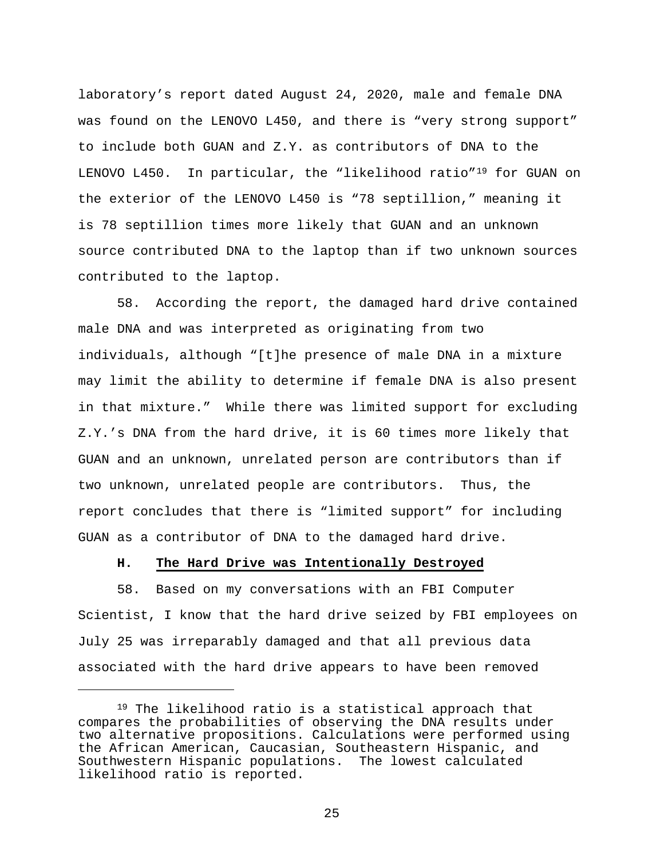laboratory's report dated August 24, 2020, male and female DNA was found on the LENOVO L450, and there is "very strong support" to include both GUAN and Z.Y. as contributors of DNA to the LENOVO L450. In particular, the "likelihood ratio"19 for GUAN on the exterior of the LENOVO L450 is "78 septillion," meaning it is 78 septillion times more likely that GUAN and an unknown source contributed DNA to the laptop than if two unknown sources contributed to the laptop.

58. According the report, the damaged hard drive contained male DNA and was interpreted as originating from two individuals, although "[t]he presence of male DNA in a mixture may limit the ability to determine if female DNA is also present in that mixture." While there was limited support for excluding Z.Y.'s DNA from the hard drive, it is 60 times more likely that GUAN and an unknown, unrelated person are contributors than if two unknown, unrelated people are contributors. Thus, the report concludes that there is "limited support" for including GUAN as a contributor of DNA to the damaged hard drive.

#### **H. The Hard Drive was Intentionally Destroyed**

Ĩ.

58. Based on my conversations with an FBI Computer Scientist, I know that the hard drive seized by FBI employees on July 25 was irreparably damaged and that all previous data associated with the hard drive appears to have been removed

<sup>19</sup> The likelihood ratio is a statistical approach that compares the probabilities of observing the DNA results under two alternative propositions. Calculations were performed using the African American, Caucasian, Southeastern Hispanic, and Southwestern Hispanic populations. The lowest calculated likelihood ratio is reported.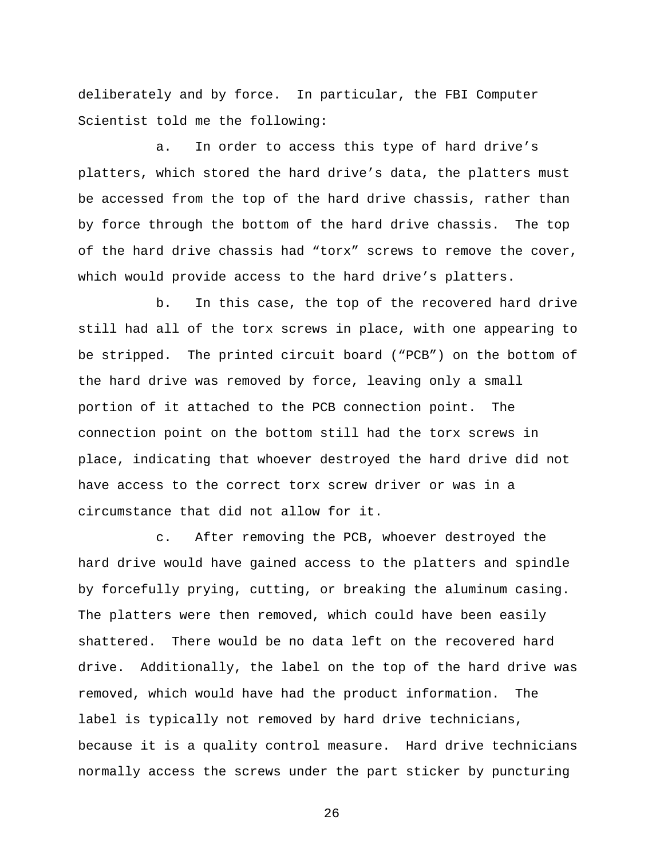deliberately and by force. In particular, the FBI Computer Scientist told me the following:

a. In order to access this type of hard drive's platters, which stored the hard drive's data, the platters must be accessed from the top of the hard drive chassis, rather than by force through the bottom of the hard drive chassis. The top of the hard drive chassis had "torx" screws to remove the cover, which would provide access to the hard drive's platters.

b. In this case, the top of the recovered hard drive still had all of the torx screws in place, with one appearing to be stripped. The printed circuit board ("PCB") on the bottom of the hard drive was removed by force, leaving only a small portion of it attached to the PCB connection point. The connection point on the bottom still had the torx screws in place, indicating that whoever destroyed the hard drive did not have access to the correct torx screw driver or was in a circumstance that did not allow for it.

c. After removing the PCB, whoever destroyed the hard drive would have gained access to the platters and spindle by forcefully prying, cutting, or breaking the aluminum casing. The platters were then removed, which could have been easily shattered. There would be no data left on the recovered hard drive. Additionally, the label on the top of the hard drive was removed, which would have had the product information. The label is typically not removed by hard drive technicians, because it is a quality control measure. Hard drive technicians normally access the screws under the part sticker by puncturing